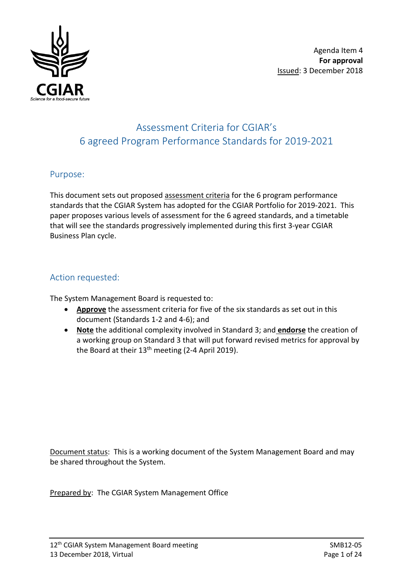

# Assessment Criteria for CGIAR's 6 agreed Program Performance Standards for 2019-2021

# Purpose:

This document sets out proposed assessment criteria for the 6 program performance standards that the CGIAR System has adopted for the CGIAR Portfolio for 2019-2021. This paper proposes various levels of assessment for the 6 agreed standards, and a timetable that will see the standards progressively implemented during this first 3-year CGIAR Business Plan cycle.

# Action requested:

The System Management Board is requested to:

- **Approve** the assessment criteria for five of the six standards as set out in this document (Standards 1-2 and 4-6); and
- **Note** the additional complexity involved in Standard 3; and **endorse** the creation of a working group on Standard 3 that will put forward revised metrics for approval by the Board at their  $13<sup>th</sup>$  meeting (2-4 April 2019).

Document status: This is a working document of the System Management Board and may be shared throughout the System.

Prepared by: The CGIAR System Management Office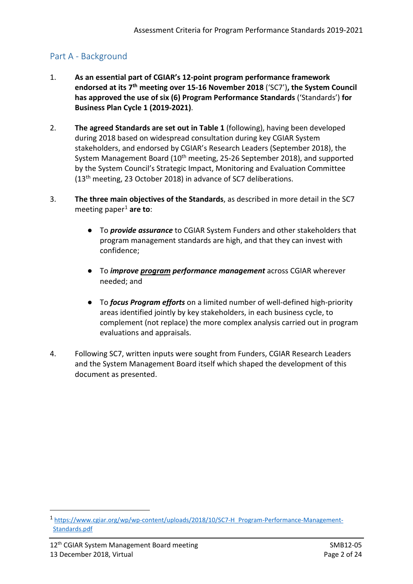# Part A - Background

- 1. **As an essential part of CGIAR's 12-point program performance framework endorsed at its 7th meeting over 15-16 November 2018** ('SC7')**, the System Council has approved the use of six (6) Program Performance Standards** ('Standards') **for Business Plan Cycle 1 (2019-2021)**.
- 2. **The agreed Standards are set out in Table 1** (following), having been developed during 2018 based on widespread consultation during key CGIAR System stakeholders, and endorsed by CGIAR's Research Leaders (September 2018), the System Management Board (10<sup>th</sup> meeting, 25-26 September 2018), and supported by the System Council's Strategic Impact, Monitoring and Evaluation Committee (13th meeting, 23 October 2018) in advance of SC7 deliberations.
- 3. **The three main objectives of the Standards**, as described in more detail in the SC7 meeting paper<sup>[1](#page-1-0)</sup> are to:
	- To *provide assurance* to CGIAR System Funders and other stakeholders that program management standards are high, and that they can invest with confidence;
	- To *improve program performance management* across CGIAR wherever needed; and
	- To *focus Program efforts* on a limited number of well-defined high-priority areas identified jointly by key stakeholders, in each business cycle, to complement (not replace) the more complex analysis carried out in program evaluations and appraisals.
- 4. Following SC7, written inputs were sought from Funders, CGIAR Research Leaders and the System Management Board itself which shaped the development of this document as presented.

<span id="page-1-0"></span> <sup>1</sup> [https://www.cgiar.org/wp/wp-content/uploads/2018/10/SC7-H\\_Program-Performance-Management-](https://www.cgiar.org/wp/wp-content/uploads/2018/10/SC7-H_Program-Performance-Management-Standards.pdf)[Standards.pdf](https://www.cgiar.org/wp/wp-content/uploads/2018/10/SC7-H_Program-Performance-Management-Standards.pdf)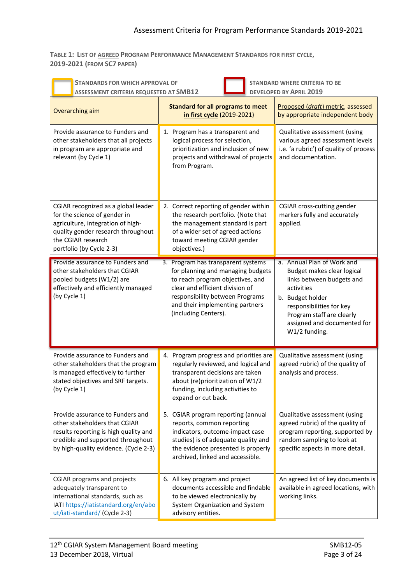**TABLE 1: LIST OF AGREED PROGRAM PERFORMANCE MANAGEMENT STANDARDS FOR FIRST CYCLE, 2019-2021 (FROM SC7 PAPER)**

| <b>STANDARDS FOR WHICH APPROVAL OF</b><br><b>STANDARD WHERE CRITERIA TO BE</b><br><b>DEVELOPED BY APRIL 2019</b><br>ASSESSMENT CRITERIA REQUESTED AT SMB12                                       |                                                                                                                                                                                                                                              |                                                                                                                                                                                                                                  |  |  |
|--------------------------------------------------------------------------------------------------------------------------------------------------------------------------------------------------|----------------------------------------------------------------------------------------------------------------------------------------------------------------------------------------------------------------------------------------------|----------------------------------------------------------------------------------------------------------------------------------------------------------------------------------------------------------------------------------|--|--|
| Overarching aim                                                                                                                                                                                  | <b>Standard for all programs to meet</b><br>in first cycle (2019-2021)                                                                                                                                                                       | Proposed (draft) metric, assessed<br>by appropriate independent body                                                                                                                                                             |  |  |
| Provide assurance to Funders and<br>other stakeholders that all projects<br>in program are appropriate and<br>relevant (by Cycle 1)                                                              | 1. Program has a transparent and<br>logical process for selection,<br>prioritization and inclusion of new<br>projects and withdrawal of projects<br>from Program.                                                                            | Qualitative assessment (using<br>various agreed assessment levels<br>i.e. 'a rubric') of quality of process<br>and documentation.                                                                                                |  |  |
| CGIAR recognized as a global leader<br>for the science of gender in<br>agriculture, integration of high-<br>quality gender research throughout<br>the CGIAR research<br>portfolio (by Cycle 2-3) | 2. Correct reporting of gender within<br>the research portfolio. (Note that<br>the management standard is part<br>of a wider set of agreed actions<br>toward meeting CGIAR gender<br>objectives.)                                            | CGIAR cross-cutting gender<br>markers fully and accurately<br>applied.                                                                                                                                                           |  |  |
| Provide assurance to Funders and<br>other stakeholders that CGIAR<br>pooled budgets (W1/2) are<br>effectively and efficiently managed<br>(by Cycle 1)                                            | 3. Program has transparent systems<br>for planning and managing budgets<br>to reach program objectives, and<br>clear and efficient division of<br>responsibility between Programs<br>and their implementing partners<br>(including Centers). | a. Annual Plan of Work and<br>Budget makes clear logical<br>links between budgets and<br>activities<br>b. Budget holder<br>responsibilities for key<br>Program staff are clearly<br>assigned and documented for<br>W1/2 funding. |  |  |
| Provide assurance to Funders and<br>other stakeholders that the program<br>is managed effectively to further<br>stated objectives and SRF targets.<br>(by Cycle 1)                               | 4. Program progress and priorities are<br>regularly reviewed, and logical and<br>transparent decisions are taken<br>about (re)prioritization of W1/2<br>funding, including activities to<br>expand or cut back.                              | Qualitative assessment (using<br>agreed rubric) of the quality of<br>analysis and process.                                                                                                                                       |  |  |
| Provide assurance to Funders and<br>other stakeholders that CGIAR<br>results reporting is high quality and<br>credible and supported throughout<br>by high-quality evidence. (Cycle 2-3)         | 5. CGIAR program reporting (annual<br>reports, common reporting<br>indicators, outcome-impact case<br>studies) is of adequate quality and<br>the evidence presented is properly<br>archived, linked and accessible.                          | Qualitative assessment (using<br>agreed rubric) of the quality of<br>program reporting, supported by<br>random sampling to look at<br>specific aspects in more detail.                                                           |  |  |
| <b>CGIAR programs and projects</b><br>adequately transparent to<br>international standards, such as<br>IATI https://iatistandard.org/en/abo<br>ut/iati-standard/ (Cycle 2-3)                     | 6. All key program and project<br>documents accessible and findable<br>to be viewed electronically by<br>System Organization and System<br>advisory entities.                                                                                | An agreed list of key documents is<br>available in agreed locations, with<br>working links.                                                                                                                                      |  |  |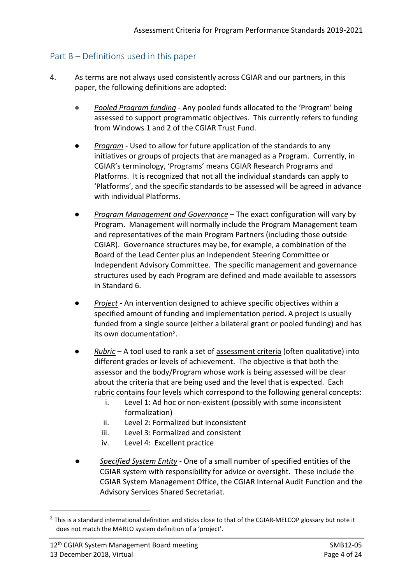# Part B – Definitions used in this paper

- 4. As terms are not always used consistently across CGIAR and our partners, in this paper, the following definitions are adopted:
	- *Pooled Program funding -* Any pooled funds allocated to the 'Program' being assessed to support programmatic objectives. This currently refers to funding from Windows 1 and 2 of the CGIAR Trust Fund.
	- Program Used to allow for future application of the standards to any initiatives or groups of projects that are managed as a Program. Currently, in CGIAR's terminology, 'Programs' means CGIAR Research Programs and Platforms. It is recognized that not all the individual standards can apply to 'Platforms', and the specific standards to be assessed will be agreed in advance with individual Platforms.
	- **Program Management and Governance** The exact configuration will vary by Program. Management will normally include the Program Management team and representatives of the main Program Partners (including those outside CGIAR). Governance structures may be, for example, a combination of the Board of the Lead Center plus an Independent Steering Committee or Independent Advisory Committee. The specific management and governance structures used by each Program are defined and made available to assessors in Standard 6.
	- *Project -* An intervention designed to achieve specific objectives within a specified amount of funding and implementation period. A project is usually funded from a single source (either a bilateral grant or pooled funding) and has its own documentation[2](#page-3-0).
	- *Rubric –* A tool used to rank a set of assessment criteria (often qualitative) into different grades or levels of achievement. The objective is that both the assessor and the body/Program whose work is being assessed will be clear about the criteria that are being used and the level that is expected. Each rubric contains four levels which correspond to the following general concepts:
		- i. Level 1: Ad hoc or non-existent (possibly with some inconsistent formalization)
		- ii. Level 2: Formalized but inconsistent
		- iii. Level 3: Formalized and consistent
		- iv. Level 4: Excellent practice
	- *Specified System Entity -* One of a small number of specified entities of the CGIAR system with responsibility for advice or oversight. These include the CGIAR System Management Office, the CGIAR Internal Audit Function and the Advisory Services Shared Secretariat.

<span id="page-3-0"></span><sup>&</sup>lt;sup>2</sup> This is a standard international definition and sticks close to that of the CGIAR-MELCOP glossary but note it does not match the MARLO system definition of a 'project'.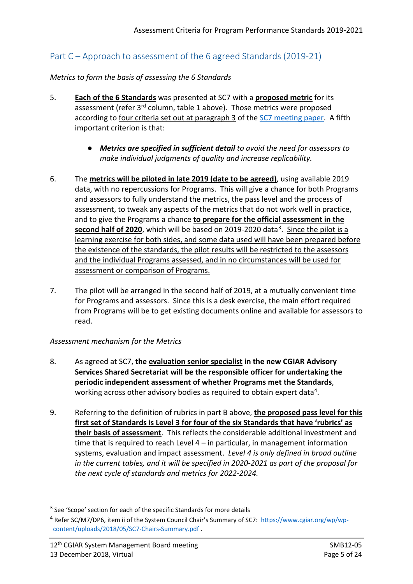# Part C – Approach to assessment of the 6 agreed Standards (2019-21)

### *Metrics to form the basis of assessing the 6 Standards*

- 5. **Each of the 6 Standards** was presented at SC7 with a **proposed metric** for its assessment (refer 3<sup>rd</sup> column, table 1 above). Those metrics were proposed according to four criteria set out at paragraph 3 of the [SC7 meeting paper.](https://www.cgiar.org/wp/wp-content/uploads/2018/10/SC7-H_Program-Performance-Management-Standards.pdf) A fifth important criterion is that:
	- *Metrics are specified in sufficient detail to avoid the need for assessors to make individual judgments of quality and increase replicability.*
- 6. The **metrics will be piloted in late 2019 (date to be agreed)**, using available 2019 data, with no repercussions for Programs. This will give a chance for both Programs and assessors to fully understand the metrics, the pass level and the process of assessment, to tweak any aspects of the metrics that do not work well in practice, and to give the Programs a chance **to prepare for the official assessment in the**  second half of 2020, which will be based on 2019-2020 data<sup>3</sup>. Since the pilot is a learning exercise for both sides, and some data used will have been prepared before the existence of the standards, the pilot results will be restricted to the assessors and the individual Programs assessed, and in no circumstances will be used for assessment or comparison of Programs.
- 7. The pilot will be arranged in the second half of 2019, at a mutually convenient time for Programs and assessors. Since this is a desk exercise, the main effort required from Programs will be to get existing documents online and available for assessors to read.

# *Assessment mechanism for the Metrics*

- 8. As agreed at SC7, **the evaluation senior specialist in the new CGIAR Advisory Services Shared Secretariat will be the responsible officer for undertaking the periodic independent assessment of whether Programs met the Standards**, working across other advisory bodies as required to obtain expert data<sup>[4](#page-4-1)</sup>.
- 9. Referring to the definition of rubrics in part B above, **the proposed pass level for this first set of Standards is Level 3 for four of the six Standards that have 'rubrics' as their basis of assessment**. This reflects the considerable additional investment and time that is required to reach Level 4 – in particular, in management information systems, evaluation and impact assessment. *Level 4 is only defined in broad outline in the current tables, and it will be specified in 2020-2021 as part of the proposal for the next cycle of standards and metrics for 2022-2024.*

<span id="page-4-0"></span><sup>&</sup>lt;sup>3</sup> See 'Scope' section for each of the specific Standards for more details

<span id="page-4-1"></span><sup>4</sup> Refer SC/M7/DP6, item ii of the System Council Chair's Summary of SC7: [https://www.cgiar.org/wp/wp](https://www.cgiar.org/wp/wp-content/uploads/2018/05/SC7-Chairs-Summary.pdf)[content/uploads/2018/05/SC7-Chairs-Summary.pdf](https://www.cgiar.org/wp/wp-content/uploads/2018/05/SC7-Chairs-Summary.pdf) .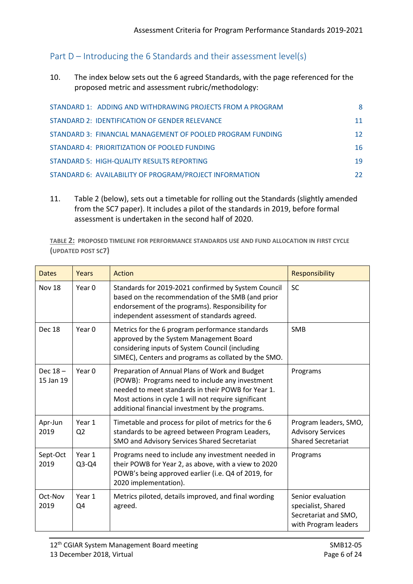# Part D – Introducing the 6 Standards and their assessment level(s)

10. The index below sets out the 6 agreed Standards, with the page referenced for the proposed metric and assessment rubric/methodology:

| STANDARD 1: ADDING AND WITHDRAWING PROJECTS FROM A PROGRAM | 8  |
|------------------------------------------------------------|----|
| STANDARD 2: IDENTIFICATION OF GENDER RELEVANCE             | 11 |
| STANDARD 3: FINANCIAL MANAGEMENT OF POOLED PROGRAM FUNDING | 12 |
| STANDARD 4: PRIORITIZATION OF POOLED FUNDING               | 16 |
| STANDARD 5: HIGH-QUALITY RESULTS REPORTING                 | 19 |
| STANDARD 6: AVAILABILITY OF PROGRAM/PROJECT INFORMATION    | 22 |

11. Table 2 (below), sets out a timetable for rolling out the Standards (slightly amended from the SC7 paper). It includes a pilot of the standards in 2019, before formal assessment is undertaken in the second half of 2020.

**TABLE 2: PROPOSED TIMELINE FOR PERFORMANCE STANDARDS USE AND FUND ALLOCATION IN FIRST CYCLE (UPDATED POST SC7)**

| <b>Dates</b>         | Years                    | Action                                                                                                                                                                                                                                                              | <b>Responsibility</b>                                                                   |
|----------------------|--------------------------|---------------------------------------------------------------------------------------------------------------------------------------------------------------------------------------------------------------------------------------------------------------------|-----------------------------------------------------------------------------------------|
| <b>Nov 18</b>        | Year 0                   | Standards for 2019-2021 confirmed by System Council<br>based on the recommendation of the SMB (and prior<br>endorsement of the programs). Responsibility for<br>independent assessment of standards agreed.                                                         | <b>SC</b>                                                                               |
| Dec 18               | Year 0                   | Metrics for the 6 program performance standards<br>approved by the System Management Board<br>considering inputs of System Council (including<br>SIMEC), Centers and programs as collated by the SMO.                                                               | <b>SMB</b>                                                                              |
| Dec 18-<br>15 Jan 19 | Year $0$                 | Preparation of Annual Plans of Work and Budget<br>(POWB): Programs need to include any investment<br>needed to meet standards in their POWB for Year 1.<br>Most actions in cycle 1 will not require significant<br>additional financial investment by the programs. | Programs                                                                                |
| Apr-Jun<br>2019      | Year 1<br>Q <sub>2</sub> | Timetable and process for pilot of metrics for the 6<br>standards to be agreed between Program Leaders,<br>SMO and Advisory Services Shared Secretariat                                                                                                             | Program leaders, SMO,<br><b>Advisory Services</b><br><b>Shared Secretariat</b>          |
| Sept-Oct<br>2019     | Year 1<br>$Q3-Q4$        | Programs need to include any investment needed in<br>their POWB for Year 2, as above, with a view to 2020<br>POWB's being approved earlier (i.e. Q4 of 2019, for<br>2020 implementation).                                                                           | Programs                                                                                |
| Oct-Nov<br>2019      | Year 1<br>Q4             | Metrics piloted, details improved, and final wording<br>agreed.                                                                                                                                                                                                     | Senior evaluation<br>specialist, Shared<br>Secretariat and SMO,<br>with Program leaders |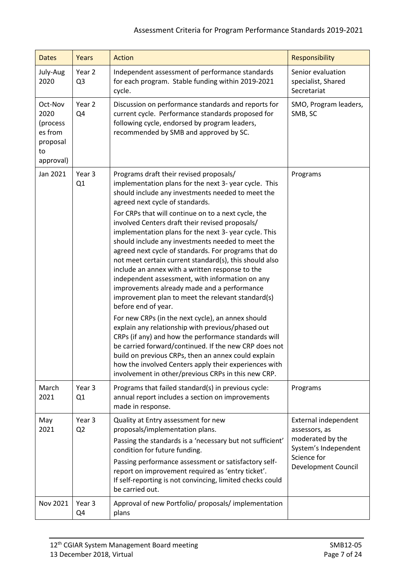# Assessment Criteria for Program Performance Standards 2019-2021

| <b>Dates</b>                                                          | Years                    | <b>Action</b>                                                                                                                                                                                                                                                                                                                                                                                                                                                                                                                                                                                                                                                                                                                                                                                                                                                                                                                                                                                                                                                                                                                                                         | Responsibility                                                                                                                 |
|-----------------------------------------------------------------------|--------------------------|-----------------------------------------------------------------------------------------------------------------------------------------------------------------------------------------------------------------------------------------------------------------------------------------------------------------------------------------------------------------------------------------------------------------------------------------------------------------------------------------------------------------------------------------------------------------------------------------------------------------------------------------------------------------------------------------------------------------------------------------------------------------------------------------------------------------------------------------------------------------------------------------------------------------------------------------------------------------------------------------------------------------------------------------------------------------------------------------------------------------------------------------------------------------------|--------------------------------------------------------------------------------------------------------------------------------|
| July-Aug<br>2020                                                      | Year 2<br>Q <sub>3</sub> | Independent assessment of performance standards<br>for each program. Stable funding within 2019-2021<br>cycle.                                                                                                                                                                                                                                                                                                                                                                                                                                                                                                                                                                                                                                                                                                                                                                                                                                                                                                                                                                                                                                                        | Senior evaluation<br>specialist, Shared<br>Secretariat                                                                         |
| Oct-Nov<br>2020<br>(process<br>es from<br>proposal<br>to<br>approval) | Year 2<br>Q4             | Discussion on performance standards and reports for<br>current cycle. Performance standards proposed for<br>following cycle, endorsed by program leaders,<br>recommended by SMB and approved by SC.                                                                                                                                                                                                                                                                                                                                                                                                                                                                                                                                                                                                                                                                                                                                                                                                                                                                                                                                                                   | SMO, Program leaders,<br>SMB, SC                                                                                               |
| Jan 2021                                                              | Year 3<br>Q1             | Programs draft their revised proposals/<br>implementation plans for the next 3- year cycle. This<br>should include any investments needed to meet the<br>agreed next cycle of standards.<br>For CRPs that will continue on to a next cycle, the<br>involved Centers draft their revised proposals/<br>implementation plans for the next 3- year cycle. This<br>should include any investments needed to meet the<br>agreed next cycle of standards. For programs that do<br>not meet certain current standard(s), this should also<br>include an annex with a written response to the<br>independent assessment, with information on any<br>improvements already made and a performance<br>improvement plan to meet the relevant standard(s)<br>before end of year.<br>For new CRPs (in the next cycle), an annex should<br>explain any relationship with previous/phased out<br>CRPs (if any) and how the performance standards will<br>be carried forward/continued. If the new CRP does not<br>build on previous CRPs, then an annex could explain<br>how the involved Centers apply their experiences with<br>involvement in other/previous CRPs in this new CRP. | Programs                                                                                                                       |
| March<br>2021                                                         | Year 3<br>Q1             | Programs that failed standard(s) in previous cycle:<br>annual report includes a section on improvements<br>made in response.                                                                                                                                                                                                                                                                                                                                                                                                                                                                                                                                                                                                                                                                                                                                                                                                                                                                                                                                                                                                                                          | Programs                                                                                                                       |
| May<br>2021                                                           | Year 3<br>Q <sub>2</sub> | Quality at Entry assessment for new<br>proposals/implementation plans.<br>Passing the standards is a 'necessary but not sufficient'<br>condition for future funding.<br>Passing performance assessment or satisfactory self-<br>report on improvement required as 'entry ticket'.<br>If self-reporting is not convincing, limited checks could<br>be carried out.                                                                                                                                                                                                                                                                                                                                                                                                                                                                                                                                                                                                                                                                                                                                                                                                     | External independent<br>assessors, as<br>moderated by the<br>System's Independent<br>Science for<br><b>Development Council</b> |
| Nov 2021                                                              | Year 3<br>Q4             | Approval of new Portfolio/ proposals/ implementation<br>plans                                                                                                                                                                                                                                                                                                                                                                                                                                                                                                                                                                                                                                                                                                                                                                                                                                                                                                                                                                                                                                                                                                         |                                                                                                                                |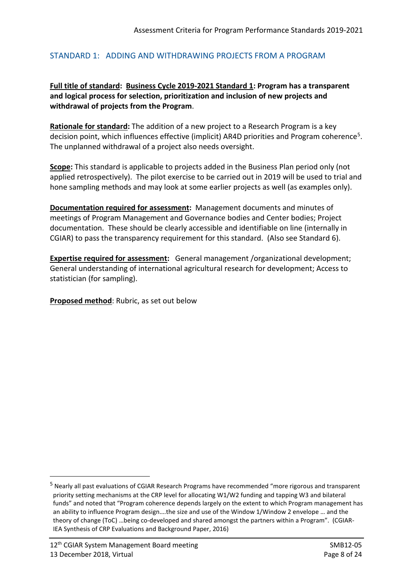### <span id="page-7-0"></span>STANDARD 1: ADDING AND WITHDRAWING PROJECTS FROM A PROGRAM

# **Full title of standard: Business Cycle 2019-2021 Standard 1: Program has a transparent and logical process for selection, prioritization and inclusion of new projects and withdrawal of projects from the Program**.

**Rationale for standard:** The addition of a new project to a Research Program is a key decision point, which influences effective (implicit) AR4D priorities and Program coherence[5.](#page-7-1) The unplanned withdrawal of a project also needs oversight.

**Scope:** This standard is applicable to projects added in the Business Plan period only (not applied retrospectively). The pilot exercise to be carried out in 2019 will be used to trial and hone sampling methods and may look at some earlier projects as well (as examples only).

**Documentation required for assessment:** Management documents and minutes of meetings of Program Management and Governance bodies and Center bodies; Project documentation. These should be clearly accessible and identifiable on line (internally in CGIAR) to pass the transparency requirement for this standard. (Also see Standard 6).

**Expertise required for assessment:** General management /organizational development; General understanding of international agricultural research for development; Access to statistician (for sampling).

<span id="page-7-1"></span> <sup>5</sup> Nearly all past evaluations of CGIAR Research Programs have recommended "more rigorous and transparent priority setting mechanisms at the CRP level for allocating W1/W2 funding and tapping W3 and bilateral funds" and noted that "Program coherence depends largely on the extent to which Program management has an ability to influence Program design….the size and use of the Window 1/Window 2 envelope … and the theory of change (ToC) …being co-developed and shared amongst the partners within a Program". (CGIAR-IEA Synthesis of CRP Evaluations and Background Paper, 2016)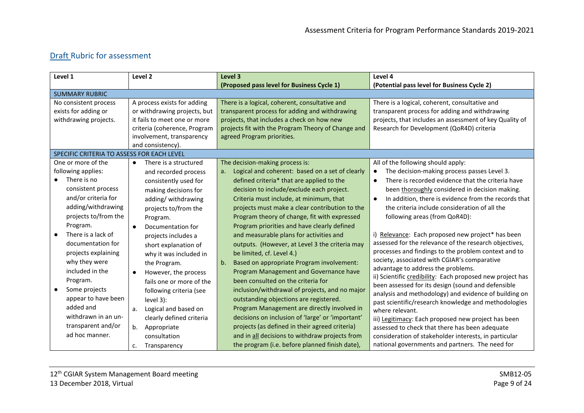| Level 1                                    | Level 2                            | Level 3                                               | Level 4                                                           |
|--------------------------------------------|------------------------------------|-------------------------------------------------------|-------------------------------------------------------------------|
|                                            |                                    | (Proposed pass level for Business Cycle 1)            | (Potential pass level for Business Cycle 2)                       |
| <b>SUMMARY RUBRIC</b>                      |                                    |                                                       |                                                                   |
| No consistent process                      | A process exists for adding        | There is a logical, coherent, consultative and        | There is a logical, coherent, consultative and                    |
| exists for adding or                       | or withdrawing projects, but       | transparent process for adding and withdrawing        | transparent process for adding and withdrawing                    |
| withdrawing projects.                      | it fails to meet one or more       | projects, that includes a check on how new            | projects, that includes an assessment of key Quality of           |
|                                            | criteria (coherence, Program       | projects fit with the Program Theory of Change and    | Research for Development (QoR4D) criteria                         |
|                                            | involvement, transparency          | agreed Program priorities.                            |                                                                   |
|                                            | and consistency).                  |                                                       |                                                                   |
| SPECIFIC CRITERIA TO ASSESS FOR EACH LEVEL |                                    |                                                       |                                                                   |
| One or more of the                         | There is a structured<br>$\bullet$ | The decision-making process is:                       | All of the following should apply:                                |
| following applies:                         | and recorded process               | Logical and coherent: based on a set of clearly<br>a. | The decision-making process passes Level 3.<br>$\bullet$          |
| There is no<br>$\bullet$                   | consistently used for              | defined criteria* that are applied to the             | There is recorded evidence that the criteria have<br>$\bullet$    |
| consistent process                         | making decisions for               | decision to include/exclude each project.             | been thoroughly considered in decision making.                    |
| and/or criteria for                        | adding/withdrawing                 | Criteria must include, at minimum, that               | In addition, there is evidence from the records that<br>$\bullet$ |
| adding/withdrawing                         | projects to/from the               | projects must make a clear contribution to the        | the criteria include consideration of all the                     |
| projects to/from the                       | Program.                           | Program theory of change, fit with expressed          | following areas (from QoR4D):                                     |
| Program.                                   | Documentation for                  | Program priorities and have clearly defined           |                                                                   |
| There is a lack of                         | projects includes a                | and measurable plans for activities and               | i) Relevance: Each proposed new project* has been                 |
| documentation for                          | short explanation of               | outputs. (However, at Level 3 the criteria may        | assessed for the relevance of the research objectives,            |
| projects explaining                        | why it was included in             | be limited, cf. Level 4.)                             | processes and findings to the problem context and to              |
| why they were                              | the Program.                       | b.<br>Based on appropriate Program involvement:       | society, associated with CGIAR's comparative                      |
| included in the                            | However, the process               | Program Management and Governance have                | advantage to address the problems.                                |
| Program.                                   | fails one or more of the           | been consulted on the criteria for                    | ii) Scientific credibility: Each proposed new project has         |
| Some projects                              |                                    | inclusion/withdrawal of projects, and no major        | been assessed for its design (sound and defensible                |
| appear to have been                        | following criteria (see            |                                                       | analysis and methodology) and evidence of building on             |
| added and                                  | level 3):                          | outstanding objections are registered.                | past scientific/research knowledge and methodologies              |
|                                            | Logical and based on<br>a.         | Program Management are directly involved in           | where relevant.                                                   |
| withdrawn in an un-                        | clearly defined criteria           | decisions on inclusion of 'large' or 'important'      | iii) Legitimacy: Each proposed new project has been               |
| transparent and/or                         | Appropriate<br>b.                  | projects (as defined in their agreed criteria)        | assessed to check that there has been adequate                    |
| ad hoc manner.                             | consultation                       | and in all decisions to withdraw projects from        | consideration of stakeholder interests, in particular             |
|                                            | Transparency<br>c.                 | the program (i.e. before planned finish date),        | national governments and partners. The need for                   |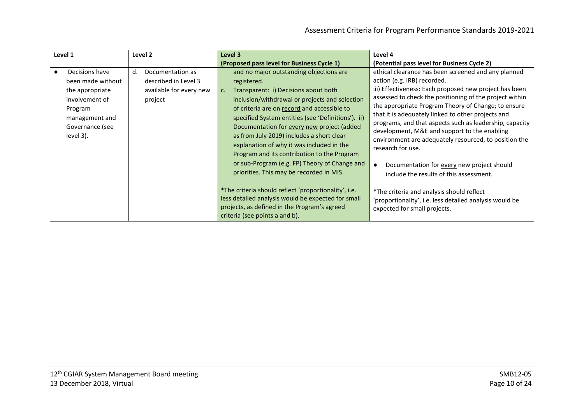| Level 1                                                                                                                               |    | Level 2                                                                        | Level 3                                                                                                                                                                                                                                                                                                                                                                                                                                                                                                                                                                                                                                                                                                       | Level 4                                                                                                                                                                                                                                                                                                                                                                                                                                                                                                                                                                                                                                                                                                                                                             |
|---------------------------------------------------------------------------------------------------------------------------------------|----|--------------------------------------------------------------------------------|---------------------------------------------------------------------------------------------------------------------------------------------------------------------------------------------------------------------------------------------------------------------------------------------------------------------------------------------------------------------------------------------------------------------------------------------------------------------------------------------------------------------------------------------------------------------------------------------------------------------------------------------------------------------------------------------------------------|---------------------------------------------------------------------------------------------------------------------------------------------------------------------------------------------------------------------------------------------------------------------------------------------------------------------------------------------------------------------------------------------------------------------------------------------------------------------------------------------------------------------------------------------------------------------------------------------------------------------------------------------------------------------------------------------------------------------------------------------------------------------|
|                                                                                                                                       |    |                                                                                | (Proposed pass level for Business Cycle 1)                                                                                                                                                                                                                                                                                                                                                                                                                                                                                                                                                                                                                                                                    | (Potential pass level for Business Cycle 2)                                                                                                                                                                                                                                                                                                                                                                                                                                                                                                                                                                                                                                                                                                                         |
| Decisions have<br>been made without<br>the appropriate<br>involvement of<br>Program<br>management and<br>Governance (see<br>level 3). | d. | Documentation as<br>described in Level 3<br>available for every new<br>project | and no major outstanding objections are<br>registered.<br>Transparent: i) Decisions about both<br>C.<br>inclusion/withdrawal or projects and selection<br>of criteria are on record and accessible to<br>specified System entities (see 'Definitions'). ii)<br>Documentation for every new project (added<br>as from July 2019) includes a short clear<br>explanation of why it was included in the<br>Program and its contribution to the Program<br>or sub-Program (e.g. FP) Theory of Change and<br>priorities. This may be recorded in MIS.<br>*The criteria should reflect 'proportionality', i.e.<br>less detailed analysis would be expected for small<br>projects, as defined in the Program's agreed | ethical clearance has been screened and any planned<br>action (e.g. IRB) recorded.<br>iii) <b>Effectiveness</b> : Each proposed new project has been<br>assessed to check the positioning of the project within<br>the appropriate Program Theory of Change; to ensure<br>that it is adequately linked to other projects and<br>programs, and that aspects such as leadership, capacity<br>development, M&E and support to the enabling<br>environment are adequately resourced, to position the<br>research for use.<br>Documentation for every new project should<br>$\bullet$<br>include the results of this assessment.<br>*The criteria and analysis should reflect<br>'proportionality', i.e. less detailed analysis would be<br>expected for small projects. |
|                                                                                                                                       |    |                                                                                | criteria (see points a and b).                                                                                                                                                                                                                                                                                                                                                                                                                                                                                                                                                                                                                                                                                |                                                                                                                                                                                                                                                                                                                                                                                                                                                                                                                                                                                                                                                                                                                                                                     |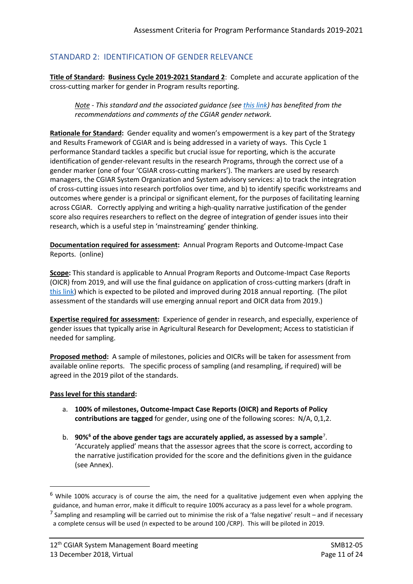# <span id="page-10-0"></span>STANDARD 2: IDENTIFICATION OF GENDER RELEVANCE

**Title of Standard: Business Cycle 2019-2021 Standard 2**: Complete and accurate application of the cross-cutting marker for gender in Program results reporting.

*Note - This standard and the associated guidance (see [this link\)](https://drive.google.com/file/d/1oXb5UHABZIbyUUczZ8eqnDsgdzwABXPk/view) has benefited from the recommendations and comments of the CGIAR gender network.*

**Rationale for Standard:** Gender equality and women's empowerment is a key part of the Strategy and Results Framework of CGIAR and is being addressed in a variety of ways. This Cycle 1 performance Standard tackles a specific but crucial issue for reporting, which is the accurate identification of gender-relevant results in the research Programs, through the correct use of a gender marker (one of four 'CGIAR cross-cutting markers'). The markers are used by research managers, the CGIAR System Organization and System advisory services: a) to track the integration of cross-cutting issues into research portfolios over time, and b) to identify specific workstreams and outcomes where gender is a principal or significant element, for the purposes of facilitating learning across CGIAR. Correctly applying and writing a high-quality narrative justification of the gender score also requires researchers to reflect on the degree of integration of gender issues into their research, which is a useful step in 'mainstreaming' gender thinking.

**Documentation required for assessment:** Annual Program Reports and Outcome-Impact Case Reports. (online)

**Scope:** This standard is applicable to Annual Program Reports and Outcome-Impact Case Reports (OICR) from 2019, and will use the final guidance on application of cross-cutting markers (draft in [this link\)](https://drive.google.com/file/d/1oXb5UHABZIbyUUczZ8eqnDsgdzwABXPk/view) which is expected to be piloted and improved during 2018 annual reporting. (The pilot assessment of the standards will use emerging annual report and OICR data from 2019.)

**Expertise required for assessment:** Experience of gender in research, and especially, experience of gender issues that typically arise in Agricultural Research for Development; Access to statistician if needed for sampling.

**Proposed method:** A sample of milestones, policies and OICRs will be taken for assessment from available online reports. The specific process of sampling (and resampling, if required) will be agreed in the 2019 pilot of the standards.

#### **Pass level for this standard:**

- a. **100% of milestones, Outcome-Impact Case Reports (OICR) and Reports of Policy contributions are tagged** for gender, using one of the following scores: N/A, 0,1,2.
- b. 90%<sup>[6](#page-10-1)</sup> of the above gender tags are accurately applied, as assessed by a sample<sup>[7](#page-10-2)</sup>. 'Accurately applied' means that the assessor agrees that the score is correct, according to the narrative justification provided for the score and the definitions given in the guidance (see Annex).

<span id="page-10-1"></span> <sup>6</sup> While 100% accuracy is of course the aim, the need for a qualitative judgement even when applying the guidance, and human error, make it difficult to require 100% accuracy as a pass level for a whole program.

<span id="page-10-2"></span><sup>&</sup>lt;sup>7</sup> Sampling and resampling will be carried out to minimise the risk of a 'false negative' result – and if necessary a complete census will be used (n expected to be around 100 /CRP). This will be piloted in 2019.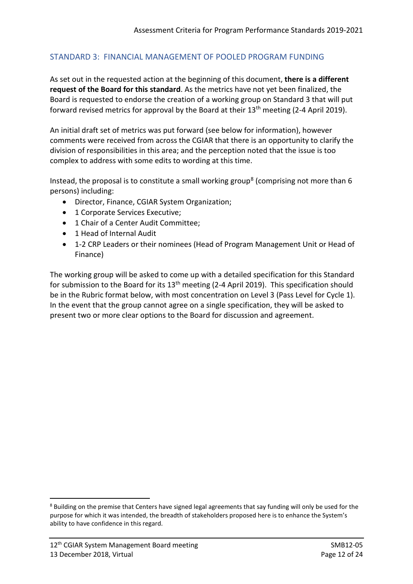# <span id="page-11-0"></span>STANDARD 3: FINANCIAL MANAGEMENT OF POOLED PROGRAM FUNDING

As set out in the requested action at the beginning of this document, **there is a different request of the Board for this standard**. As the metrics have not yet been finalized, the Board is requested to endorse the creation of a working group on Standard 3 that will put forward revised metrics for approval by the Board at their 13<sup>th</sup> meeting (2-4 April 2019).

An initial draft set of metrics was put forward (see below for information), however comments were received from across the CGIAR that there is an opportunity to clarify the division of responsibilities in this area; and the perception noted that the issue is too complex to address with some edits to wording at this time.

Instead, the proposal is to constitute a small working group<sup>[8](#page-11-1)</sup> (comprising not more than 6 persons) including:

- Director, Finance, CGIAR System Organization;
- 1 Corporate Services Executive:
- 1 Chair of a Center Audit Committee;
- 1 Head of Internal Audit
- 1-2 CRP Leaders or their nominees (Head of Program Management Unit or Head of Finance)

The working group will be asked to come up with a detailed specification for this Standard for submission to the Board for its  $13<sup>th</sup>$  meeting (2-4 April 2019). This specification should be in the Rubric format below, with most concentration on Level 3 (Pass Level for Cycle 1). In the event that the group cannot agree on a single specification, they will be asked to present two or more clear options to the Board for discussion and agreement.

<span id="page-11-1"></span><sup>&</sup>lt;sup>8</sup> Building on the premise that Centers have signed legal agreements that say funding will only be used for the purpose for which it was intended, the breadth of stakeholders proposed here is to enhance the System's ability to have confidence in this regard.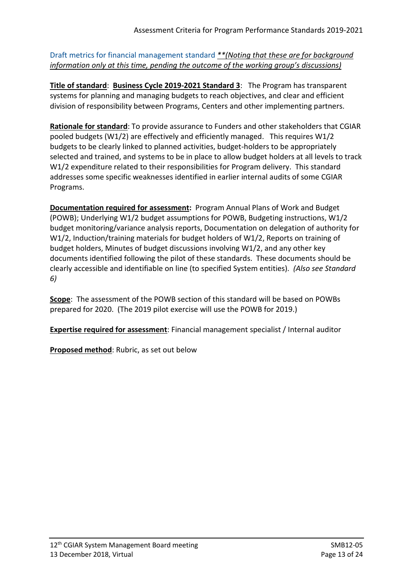Draft metrics for financial management standard *\*\*(Noting that these are for background information only at this time, pending the outcome of the working group's discussions)*

**Title of standard**: **Business Cycle 2019-2021 Standard 3**:The Program has transparent systems for planning and managing budgets to reach objectives, and clear and efficient division of responsibility between Programs, Centers and other implementing partners.

**Rationale for standard**: To provide assurance to Funders and other stakeholders that CGIAR pooled budgets (W1/2) are effectively and efficiently managed. This requires W1/2 budgets to be clearly linked to planned activities, budget-holders to be appropriately selected and trained, and systems to be in place to allow budget holders at all levels to track W1/2 expenditure related to their responsibilities for Program delivery. This standard addresses some specific weaknesses identified in earlier internal audits of some CGIAR Programs.

**Documentation required for assessment:** Program Annual Plans of Work and Budget (POWB); Underlying W1/2 budget assumptions for POWB, Budgeting instructions, W1/2 budget monitoring/variance analysis reports, Documentation on delegation of authority for W1/2, Induction/training materials for budget holders of W1/2, Reports on training of budget holders, Minutes of budget discussions involving W1/2, and any other key documents identified following the pilot of these standards. These documents should be clearly accessible and identifiable on line (to specified System entities). *(Also see Standard 6)* 

**Scope**: The assessment of the POWB section of this standard will be based on POWBs prepared for 2020. (The 2019 pilot exercise will use the POWB for 2019.)

**Expertise required for assessment**: Financial management specialist / Internal auditor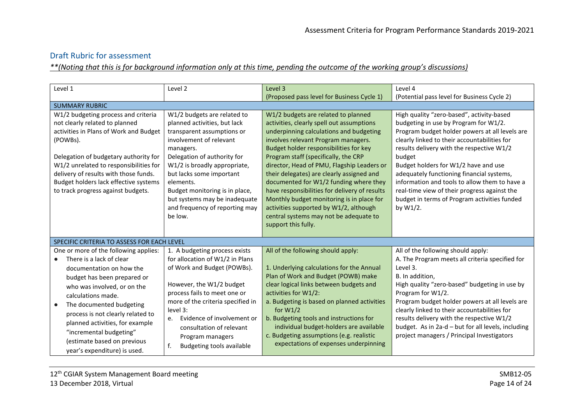*\*\*(Noting that this is for background information only at this time, pending the outcome of the working group's discussions)*

| Level 1                                                                                                                                                                                                                                                                                                                                                                                      | Level 2                                                                                                                                                                                                                                                                                                                                                   | Level 3                                                                                                                                                                                                                                                                                                                                                                                                                                                                                                                                                                                            | Level 4                                                                                                                                                                                                                                                                                                                                                                                                                                                                                       |
|----------------------------------------------------------------------------------------------------------------------------------------------------------------------------------------------------------------------------------------------------------------------------------------------------------------------------------------------------------------------------------------------|-----------------------------------------------------------------------------------------------------------------------------------------------------------------------------------------------------------------------------------------------------------------------------------------------------------------------------------------------------------|----------------------------------------------------------------------------------------------------------------------------------------------------------------------------------------------------------------------------------------------------------------------------------------------------------------------------------------------------------------------------------------------------------------------------------------------------------------------------------------------------------------------------------------------------------------------------------------------------|-----------------------------------------------------------------------------------------------------------------------------------------------------------------------------------------------------------------------------------------------------------------------------------------------------------------------------------------------------------------------------------------------------------------------------------------------------------------------------------------------|
|                                                                                                                                                                                                                                                                                                                                                                                              |                                                                                                                                                                                                                                                                                                                                                           | (Proposed pass level for Business Cycle 1)                                                                                                                                                                                                                                                                                                                                                                                                                                                                                                                                                         | (Potential pass level for Business Cycle 2)                                                                                                                                                                                                                                                                                                                                                                                                                                                   |
| <b>SUMMARY RUBRIC</b>                                                                                                                                                                                                                                                                                                                                                                        |                                                                                                                                                                                                                                                                                                                                                           |                                                                                                                                                                                                                                                                                                                                                                                                                                                                                                                                                                                                    |                                                                                                                                                                                                                                                                                                                                                                                                                                                                                               |
| W1/2 budgeting process and criteria<br>not clearly related to planned<br>activities in Plans of Work and Budget<br>(POWBs).<br>Delegation of budgetary authority for<br>W1/2 unrelated to responsibilities for<br>delivery of results with those funds.<br>Budget holders lack effective systems<br>to track progress against budgets.                                                       | W1/2 budgets are related to<br>planned activities, but lack<br>transparent assumptions or<br>involvement of relevant<br>managers.<br>Delegation of authority for<br>W1/2 is broadly appropriate,<br>but lacks some important<br>elements.<br>Budget monitoring is in place,<br>but systems may be inadequate<br>and frequency of reporting may<br>be low. | W1/2 budgets are related to planned<br>activities, clearly spell out assumptions<br>underpinning calculations and budgeting<br>involves relevant Program managers.<br>Budget holder responsibilities for key<br>Program staff (specifically, the CRP<br>director, Head of PMU, Flagship Leaders or<br>their delegates) are clearly assigned and<br>documented for W1/2 funding where they<br>have responsibilities for delivery of results<br>Monthly budget monitoring is in place for<br>activities supported by W1/2, although<br>central systems may not be adequate to<br>support this fully. | High quality "zero-based", activity-based<br>budgeting in use by Program for W1/2.<br>Program budget holder powers at all levels are<br>clearly linked to their accountabilities for<br>results delivery with the respective W1/2<br>budget<br>Budget holders for W1/2 have and use<br>adequately functioning financial systems,<br>information and tools to allow them to have a<br>real-time view of their progress against the<br>budget in terms of Program activities funded<br>by W1/2. |
| SPECIFIC CRITERIA TO ASSESS FOR EACH LEVEL                                                                                                                                                                                                                                                                                                                                                   |                                                                                                                                                                                                                                                                                                                                                           |                                                                                                                                                                                                                                                                                                                                                                                                                                                                                                                                                                                                    |                                                                                                                                                                                                                                                                                                                                                                                                                                                                                               |
| One or more of the following applies:<br>There is a lack of clear<br>$\bullet$<br>documentation on how the<br>budget has been prepared or<br>who was involved, or on the<br>calculations made.<br>The documented budgeting<br>process is not clearly related to<br>planned activities, for example<br>"incremental budgeting"<br>(estimate based on previous<br>year's expenditure) is used. | 1. A budgeting process exists<br>for allocation of W1/2 in Plans<br>of Work and Budget (POWBs).<br>However, the W1/2 budget<br>process fails to meet one or<br>more of the criteria specified in<br>level 3:<br>Evidence of involvement or<br>e.<br>consultation of relevant<br>Program managers<br>f.<br>Budgeting tools available                       | All of the following should apply:<br>1. Underlying calculations for the Annual<br>Plan of Work and Budget (POWB) make<br>clear logical links between budgets and<br>activities for W1/2:<br>a. Budgeting is based on planned activities<br>for $W1/2$<br>b. Budgeting tools and instructions for<br>individual budget-holders are available<br>c. Budgeting assumptions (e.g. realistic<br>expectations of expenses underpinning                                                                                                                                                                  | All of the following should apply:<br>A. The Program meets all criteria specified for<br>Level 3.<br>B. In addition,<br>High quality "zero-based" budgeting in use by<br>Program for W1/2.<br>Program budget holder powers at all levels are<br>clearly linked to their accountabilities for<br>results delivery with the respective W1/2<br>budget. As in 2a-d - but for all levels, including<br>project managers / Principal Investigators                                                 |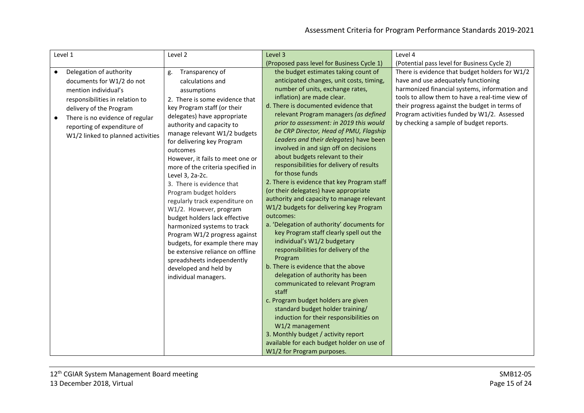| Level 1                                                                                                                                                                                                                                                        | Level 2                                                                                                                                                                                                                                                                                                                                                                                                                                                                                                                                                                                                                                                                                                                              | Level 3                                                                                                                                                                                                                                                                                                                                                                                                                                                                                                                                                                                                                                                                                                                                                                                                                                                                                                                                                                                                                                                                                                                                                                                                                                                                   | Level 4                                                                                                                                                                                                                                                                                                                              |
|----------------------------------------------------------------------------------------------------------------------------------------------------------------------------------------------------------------------------------------------------------------|--------------------------------------------------------------------------------------------------------------------------------------------------------------------------------------------------------------------------------------------------------------------------------------------------------------------------------------------------------------------------------------------------------------------------------------------------------------------------------------------------------------------------------------------------------------------------------------------------------------------------------------------------------------------------------------------------------------------------------------|---------------------------------------------------------------------------------------------------------------------------------------------------------------------------------------------------------------------------------------------------------------------------------------------------------------------------------------------------------------------------------------------------------------------------------------------------------------------------------------------------------------------------------------------------------------------------------------------------------------------------------------------------------------------------------------------------------------------------------------------------------------------------------------------------------------------------------------------------------------------------------------------------------------------------------------------------------------------------------------------------------------------------------------------------------------------------------------------------------------------------------------------------------------------------------------------------------------------------------------------------------------------------|--------------------------------------------------------------------------------------------------------------------------------------------------------------------------------------------------------------------------------------------------------------------------------------------------------------------------------------|
|                                                                                                                                                                                                                                                                |                                                                                                                                                                                                                                                                                                                                                                                                                                                                                                                                                                                                                                                                                                                                      | (Proposed pass level for Business Cycle 1)                                                                                                                                                                                                                                                                                                                                                                                                                                                                                                                                                                                                                                                                                                                                                                                                                                                                                                                                                                                                                                                                                                                                                                                                                                | (Potential pass level for Business Cycle 2)                                                                                                                                                                                                                                                                                          |
| Delegation of authority<br>$\bullet$<br>documents for W1/2 do not<br>mention individual's<br>responsibilities in relation to<br>delivery of the Program<br>There is no evidence of regular<br>reporting of expenditure of<br>W1/2 linked to planned activities | Transparency of<br>g.<br>calculations and<br>assumptions<br>2. There is some evidence that<br>key Program staff (or their<br>delegates) have appropriate<br>authority and capacity to<br>manage relevant W1/2 budgets<br>for delivering key Program<br>outcomes<br>However, it fails to meet one or<br>more of the criteria specified in<br>Level 3, 2a-2c.<br>3. There is evidence that<br>Program budget holders<br>regularly track expenditure on<br>W1/2. However, program<br>budget holders lack effective<br>harmonized systems to track<br>Program W1/2 progress against<br>budgets, for example there may<br>be extensive reliance on offline<br>spreadsheets independently<br>developed and held by<br>individual managers. | the budget estimates taking count of<br>anticipated changes, unit costs, timing,<br>number of units, exchange rates,<br>inflation) are made clear.<br>d. There is documented evidence that<br>relevant Program managers (as defined<br>prior to assessment: in 2019 this would<br>be CRP Director, Head of PMU, Flagship<br>Leaders and their delegates) have been<br>involved in and sign off on decisions<br>about budgets relevant to their<br>responsibilities for delivery of results<br>for those funds<br>2. There is evidence that key Program staff<br>(or their delegates) have appropriate<br>authority and capacity to manage relevant<br>W1/2 budgets for delivering key Program<br>outcomes:<br>a. 'Delegation of authority' documents for<br>key Program staff clearly spell out the<br>individual's W1/2 budgetary<br>responsibilities for delivery of the<br>Program<br>b. There is evidence that the above<br>delegation of authority has been<br>communicated to relevant Program<br>staff<br>c. Program budget holders are given<br>standard budget holder training/<br>induction for their responsibilities on<br>W1/2 management<br>3. Monthly budget / activity report<br>available for each budget holder on use of<br>W1/2 for Program purposes. | There is evidence that budget holders for W1/2<br>have and use adequately functioning<br>harmonized financial systems, information and<br>tools to allow them to have a real-time view of<br>their progress against the budget in terms of<br>Program activities funded by W1/2. Assessed<br>by checking a sample of budget reports. |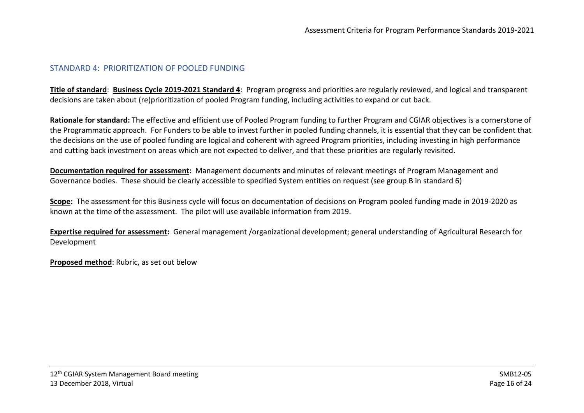#### STANDARD 4: PRIORITIZATION OF POOLED FUNDING

**Title of standard**: **Business Cycle 2019-2021 Standard 4**:Program progress and priorities are regularly reviewed, and logical and transparent decisions are taken about (re)prioritization of pooled Program funding, including activities to expand or cut back.

**Rationale for standard:** The effective and efficient use of Pooled Program funding to further Program and CGIAR objectives is a cornerstone of the Programmatic approach. For Funders to be able to invest further in pooled funding channels, it is essential that they can be confident that the decisions on the use of pooled funding are logical and coherent with agreed Program priorities, including investing in high performance and cutting back investment on areas which are not expected to deliver, and that these priorities are regularly revisited.

**Documentation required for assessment:** Management documents and minutes of relevant meetings of Program Management and Governance bodies. These should be clearly accessible to specified System entities on request (see group B in standard 6)

**Scope:** The assessment for this Business cycle will focus on documentation of decisions on Program pooled funding made in 2019-2020 as known at the time of the assessment. The pilot will use available information from 2019.

<span id="page-15-0"></span>**Expertise required for assessment:** General management /organizational development; general understanding of Agricultural Research for Development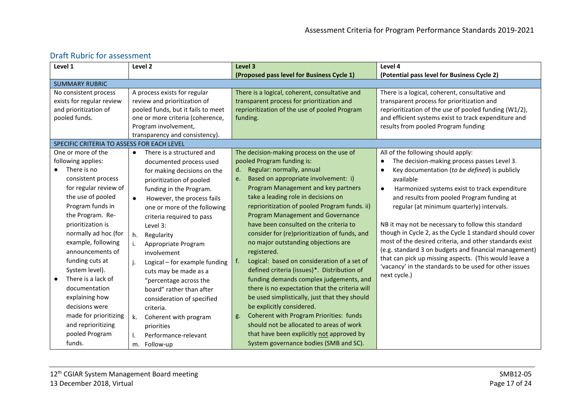| Level 1                                    | Level 2                                 | Level 3                                              | Level 4                                                    |
|--------------------------------------------|-----------------------------------------|------------------------------------------------------|------------------------------------------------------------|
|                                            |                                         | (Proposed pass level for Business Cycle 1)           | (Potential pass level for Business Cycle 2)                |
| <b>SUMMARY RUBRIC</b>                      |                                         |                                                      |                                                            |
| No consistent process                      | A process exists for regular            | There is a logical, coherent, consultative and       | There is a logical, coherent, consultative and             |
| exists for regular review                  | review and prioritization of            | transparent process for prioritization and           | transparent process for prioritization and                 |
| and prioritization of                      | pooled funds, but it fails to meet      | reprioritization of the use of pooled Program        | reprioritization of the use of pooled funding (W1/2),      |
| pooled funds.                              | one or more criteria (coherence,        | funding.                                             | and efficient systems exist to track expenditure and       |
|                                            | Program involvement,                    |                                                      | results from pooled Program funding                        |
|                                            | transparency and consistency).          |                                                      |                                                            |
| SPECIFIC CRITERIA TO ASSESS FOR EACH LEVEL |                                         |                                                      |                                                            |
| One or more of the                         | There is a structured and<br>$\bullet$  | The decision-making process on the use of            | All of the following should apply:                         |
| following applies:                         | documented process used                 | pooled Program funding is:                           | The decision-making process passes Level 3.<br>$\bullet$   |
| There is no                                | for making decisions on the             | Regular: normally, annual<br>d.                      | Key documentation (to be defined) is publicly<br>$\bullet$ |
| consistent process                         | prioritization of pooled                | Based on appropriate involvement: i)<br>e.           | available                                                  |
| for regular review of                      | funding in the Program.                 | Program Management and key partners                  | Harmonized systems exist to track expenditure<br>$\bullet$ |
| the use of pooled                          | However, the process fails<br>$\bullet$ | take a leading role in decisions on                  | and results from pooled Program funding at                 |
| Program funds in                           | one or more of the following            | reprioritization of pooled Program funds. ii)        | regular (at minimum quarterly) intervals.                  |
| the Program. Re-                           | criteria required to pass               | Program Management and Governance                    |                                                            |
| prioritization is                          | Level 3:                                | have been consulted on the criteria to               | NB it may not be necessary to follow this standard         |
| normally ad hoc (for                       | h.<br>Regularity                        | consider for (re)prioritization of funds, and        | though in Cycle 2, as the Cycle 1 standard should cover    |
| example, following                         | Appropriate Program<br>i.               | no major outstanding objections are                  | most of the desired criteria, and other standards exist    |
| announcements of                           | involvement                             | registered.                                          | (e.g. standard 3 on budgets and financial management)      |
| funding cuts at                            | Logical - for example funding<br>j.     | Logical: based on consideration of a set of<br>f.    | that can pick up missing aspects. (This would leave a      |
| System level).                             | cuts may be made as a                   | defined criteria (issues)*. Distribution of          | 'vacancy' in the standards to be used for other issues     |
| There is a lack of                         | "percentage across the                  | funding demands complex judgements, and              | next cycle.)                                               |
| documentation                              | board" rather than after                | there is no expectation that the criteria will       |                                                            |
| explaining how                             | consideration of specified              | be used simplistically, just that they should        |                                                            |
| decisions were                             | criteria.                               | be explicitly considered.                            |                                                            |
| made for prioritizing                      | Coherent with program<br>k.             | <b>Coherent with Program Priorities: funds</b><br>g. |                                                            |
| and reprioritizing                         | priorities                              | should not be allocated to areas of work             |                                                            |
| pooled Program                             | Performance-relevant                    | that have been explicitly not approved by            |                                                            |
| funds.                                     | Follow-up<br>m.                         | System governance bodies (SMB and SC).               |                                                            |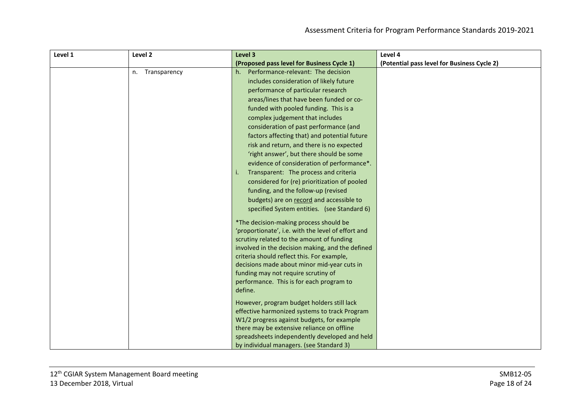| Level 1 | Level 2            | Level 3                                            | Level 4                                     |
|---------|--------------------|----------------------------------------------------|---------------------------------------------|
|         |                    | (Proposed pass level for Business Cycle 1)         | (Potential pass level for Business Cycle 2) |
|         | Transparency<br>n. | Performance-relevant: The decision<br>$h_{\cdot}$  |                                             |
|         |                    | includes consideration of likely future            |                                             |
|         |                    | performance of particular research                 |                                             |
|         |                    | areas/lines that have been funded or co-           |                                             |
|         |                    | funded with pooled funding. This is a              |                                             |
|         |                    | complex judgement that includes                    |                                             |
|         |                    | consideration of past performance (and             |                                             |
|         |                    | factors affecting that) and potential future       |                                             |
|         |                    | risk and return, and there is no expected          |                                             |
|         |                    | 'right answer', but there should be some           |                                             |
|         |                    | evidence of consideration of performance*.         |                                             |
|         |                    | Transparent: The process and criteria<br>j.        |                                             |
|         |                    | considered for (re) prioritization of pooled       |                                             |
|         |                    | funding, and the follow-up (revised                |                                             |
|         |                    | budgets) are on record and accessible to           |                                             |
|         |                    | specified System entities. (see Standard 6)        |                                             |
|         |                    | *The decision-making process should be             |                                             |
|         |                    | 'proportionate', i.e. with the level of effort and |                                             |
|         |                    | scrutiny related to the amount of funding          |                                             |
|         |                    | involved in the decision making, and the defined   |                                             |
|         |                    | criteria should reflect this. For example,         |                                             |
|         |                    | decisions made about minor mid-year cuts in        |                                             |
|         |                    | funding may not require scrutiny of                |                                             |
|         |                    | performance. This is for each program to           |                                             |
|         |                    | define.                                            |                                             |
|         |                    | However, program budget holders still lack         |                                             |
|         |                    | effective harmonized systems to track Program      |                                             |
|         |                    | W1/2 progress against budgets, for example         |                                             |
|         |                    | there may be extensive reliance on offline         |                                             |
|         |                    | spreadsheets independently developed and held      |                                             |
|         |                    | by individual managers. (see Standard 3)           |                                             |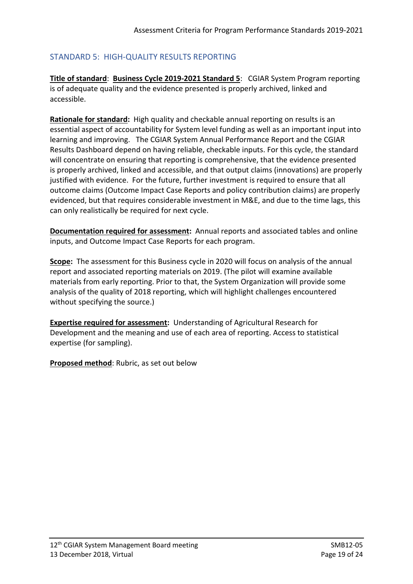# <span id="page-18-0"></span>STANDARD 5: HIGH-QUALITY RESULTS REPORTING

**Title of standard**: **Business Cycle 2019-2021 Standard 5**:CGIAR System Program reporting is of adequate quality and the evidence presented is properly archived, linked and accessible.

**Rationale for standard:** High quality and checkable annual reporting on results is an essential aspect of accountability for System level funding as well as an important input into learning and improving. The CGIAR System Annual Performance Report and the CGIAR Results Dashboard depend on having reliable, checkable inputs. For this cycle, the standard will concentrate on ensuring that reporting is comprehensive, that the evidence presented is properly archived, linked and accessible, and that output claims (innovations) are properly justified with evidence. For the future, further investment is required to ensure that all outcome claims (Outcome Impact Case Reports and policy contribution claims) are properly evidenced, but that requires considerable investment in M&E, and due to the time lags, this can only realistically be required for next cycle.

**Documentation required for assessment:** Annual reports and associated tables and online inputs, and Outcome Impact Case Reports for each program.

**Scope:** The assessment for this Business cycle in 2020 will focus on analysis of the annual report and associated reporting materials on 2019. (The pilot will examine available materials from early reporting. Prior to that, the System Organization will provide some analysis of the quality of 2018 reporting, which will highlight challenges encountered without specifying the source.)

**Expertise required for assessment:** Understanding of Agricultural Research for Development and the meaning and use of each area of reporting. Access to statistical expertise (for sampling).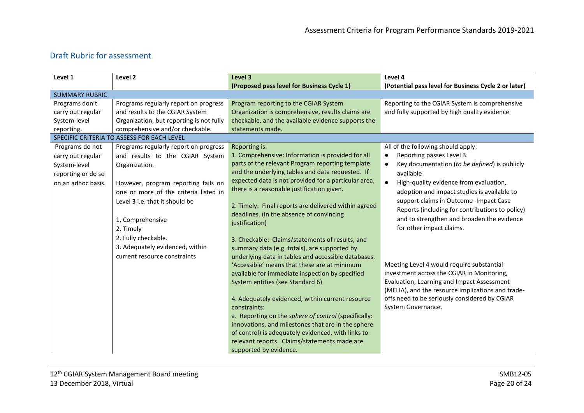| Level 1               | Level 2                                    | Level 3                                              | Level 4                                                    |
|-----------------------|--------------------------------------------|------------------------------------------------------|------------------------------------------------------------|
|                       |                                            | (Proposed pass level for Business Cycle 1)           | (Potential pass level for Business Cycle 2 or later)       |
| <b>SUMMARY RUBRIC</b> |                                            |                                                      |                                                            |
| Programs don't        | Programs regularly report on progress      | Program reporting to the CGIAR System                | Reporting to the CGIAR System is comprehensive             |
| carry out regular     | and results to the CGIAR System            | Organization is comprehensive, results claims are    | and fully supported by high quality evidence               |
| System-level          | Organization, but reporting is not fully   | checkable, and the available evidence supports the   |                                                            |
| reporting.            | comprehensive and/or checkable.            | statements made.                                     |                                                            |
|                       | SPECIFIC CRITERIA TO ASSESS FOR EACH LEVEL |                                                      |                                                            |
| Programs do not       | Programs regularly report on progress      | Reporting is:                                        | All of the following should apply:                         |
| carry out regular     | and results to the CGIAR System            | 1. Comprehensive: Information is provided for all    | Reporting passes Level 3.<br>$\bullet$                     |
| System-level          | Organization.                              | parts of the relevant Program reporting template     | Key documentation (to be defined) is publicly<br>$\bullet$ |
| reporting or do so    |                                            | and the underlying tables and data requested. If     | available                                                  |
| on an adhoc basis.    | However, program reporting fails on        | expected data is not provided for a particular area, | $\bullet$<br>High-quality evidence from evaluation,        |
|                       | one or more of the criteria listed in      | there is a reasonable justification given.           | adoption and impact studies is available to                |
|                       | Level 3 i.e. that it should be             |                                                      | support claims in Outcome - Impact Case                    |
|                       |                                            | 2. Timely: Final reports are delivered within agreed | Reports (including for contributions to policy)            |
|                       |                                            | deadlines. (in the absence of convincing             | and to strengthen and broaden the evidence                 |
|                       | 1. Comprehensive                           | justification)                                       | for other impact claims.                                   |
|                       | 2. Timely                                  |                                                      |                                                            |
|                       | 2. Fully checkable.                        | 3. Checkable: Claims/statements of results, and      |                                                            |
|                       | 3. Adequately evidenced, within            | summary data (e.g. totals), are supported by         |                                                            |
|                       | current resource constraints               | underlying data in tables and accessible databases.  |                                                            |
|                       |                                            | 'Accessible' means that these are at minimum         | Meeting Level 4 would require substantial                  |
|                       |                                            | available for immediate inspection by specified      | investment across the CGIAR in Monitoring,                 |
|                       |                                            | System entities (see Standard 6)                     | Evaluation, Learning and Impact Assessment                 |
|                       |                                            |                                                      | (MELIA), and the resource implications and trade-          |
|                       |                                            | 4. Adequately evidenced, within current resource     | offs need to be seriously considered by CGIAR              |
|                       |                                            | constraints:                                         | System Governance.                                         |
|                       |                                            | a. Reporting on the sphere of control (specifically: |                                                            |
|                       |                                            | innovations, and milestones that are in the sphere   |                                                            |
|                       |                                            | of control) is adequately evidenced, with links to   |                                                            |
|                       |                                            | relevant reports. Claims/statements made are         |                                                            |
|                       |                                            | supported by evidence.                               |                                                            |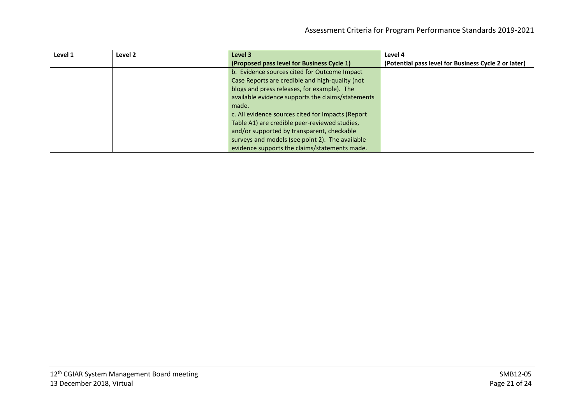| Level 1 | Level 2 | Level 3                                           | Level 4                                              |
|---------|---------|---------------------------------------------------|------------------------------------------------------|
|         |         | (Proposed pass level for Business Cycle 1)        | (Potential pass level for Business Cycle 2 or later) |
|         |         | b. Evidence sources cited for Outcome Impact      |                                                      |
|         |         | Case Reports are credible and high-quality (not   |                                                      |
|         |         | blogs and press releases, for example). The       |                                                      |
|         |         | available evidence supports the claims/statements |                                                      |
|         |         | made.                                             |                                                      |
|         |         | c. All evidence sources cited for Impacts (Report |                                                      |
|         |         | Table A1) are credible peer-reviewed studies,     |                                                      |
|         |         | and/or supported by transparent, checkable        |                                                      |
|         |         | surveys and models (see point 2). The available   |                                                      |
|         |         | evidence supports the claims/statements made.     |                                                      |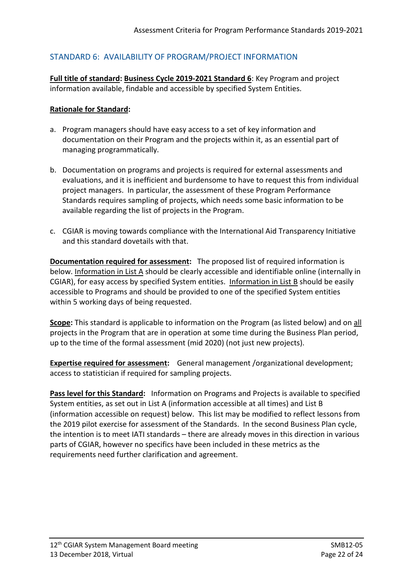# <span id="page-21-0"></span>STANDARD 6: AVAILABILITY OF PROGRAM/PROJECT INFORMATION

**Full title of standard: Business Cycle 2019-2021 Standard 6**: Key Program and project information available, findable and accessible by specified System Entities.

#### **Rationale for Standard:**

- a. Program managers should have easy access to a set of key information and documentation on their Program and the projects within it, as an essential part of managing programmatically.
- b. Documentation on programs and projects is required for external assessments and evaluations, and it is inefficient and burdensome to have to request this from individual project managers. In particular, the assessment of these Program Performance Standards requires sampling of projects, which needs some basic information to be available regarding the list of projects in the Program.
- c. CGIAR is moving towards compliance with the International Aid Transparency Initiative and this standard dovetails with that.

**Documentation required for assessment:** The proposed list of required information is below. Information in List A should be clearly accessible and identifiable online (internally in CGIAR), for easy access by specified System entities. Information in List B should be easily accessible to Programs and should be provided to one of the specified System entities within 5 working days of being requested.

**Scope:** This standard is applicable to information on the Program (as listed below) and on all projects in the Program that are in operation at some time during the Business Plan period, up to the time of the formal assessment (mid 2020) (not just new projects).

**Expertise required for assessment:** General management /organizational development; access to statistician if required for sampling projects.

**Pass level for this Standard:** Information on Programs and Projects is available to specified System entities, as set out in List A (information accessible at all times) and List B (information accessible on request) below. This list may be modified to reflect lessons from the 2019 pilot exercise for assessment of the Standards. In the second Business Plan cycle, the intention is to meet IATI standards – there are already moves in this direction in various parts of CGIAR, however no specifics have been included in these metrics as the requirements need further clarification and agreement.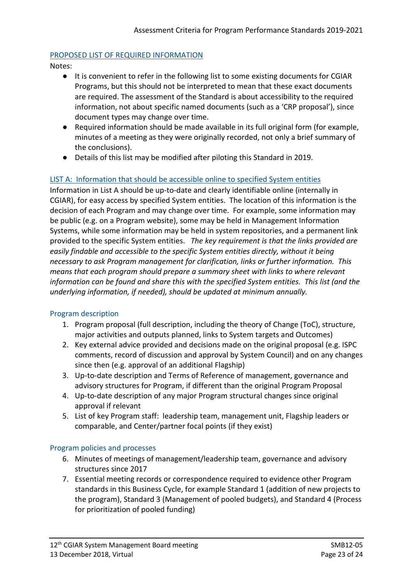## PROPOSED LIST OF REQUIRED INFORMATION

Notes:

- It is convenient to refer in the following list to some existing documents for CGIAR Programs, but this should not be interpreted to mean that these exact documents are required. The assessment of the Standard is about accessibility to the required information, not about specific named documents (such as a 'CRP proposal'), since document types may change over time.
- Required information should be made available in its full original form (for example, minutes of a meeting as they were originally recorded, not only a brief summary of the conclusions).
- Details of this list may be modified after piloting this Standard in 2019.

# LIST A: Information that should be accessible online to specified System entities

Information in List A should be up-to-date and clearly identifiable online (internally in CGIAR), for easy access by specified System entities. The location of this information is the decision of each Program and may change over time. For example, some information may be public (e.g. on a Program website), some may be held in Management Information Systems, while some information may be held in system repositories, and a permanent link provided to the specific System entities. *The key requirement is that the links provided are easily findable and accessible to the specific System entities directly, without it being necessary to ask Program management for clarification, links or further information. This means that each program should prepare a summary sheet with links to where relevant information can be found and share this with the specified System entities. This list (and the underlying information, if needed), should be updated at minimum annually.* 

# Program description

- 1. Program proposal (full description, including the theory of Change (ToC), structure, major activities and outputs planned, links to System targets and Outcomes)
- 2. Key external advice provided and decisions made on the original proposal (e.g. ISPC comments, record of discussion and approval by System Council) and on any changes since then (e.g. approval of an additional Flagship)
- 3. Up-to-date description and Terms of Reference of management, governance and advisory structures for Program, if different than the original Program Proposal
- 4. Up-to-date description of any major Program structural changes since original approval if relevant
- 5. List of key Program staff: leadership team, management unit, Flagship leaders or comparable, and Center/partner focal points (if they exist)

# Program policies and processes

- 6. Minutes of meetings of management/leadership team, governance and advisory structures since 2017
- 7. Essential meeting records or correspondence required to evidence other Program standards in this Business Cycle, for example Standard 1 (addition of new projects to the program), Standard 3 (Management of pooled budgets), and Standard 4 (Process for prioritization of pooled funding)